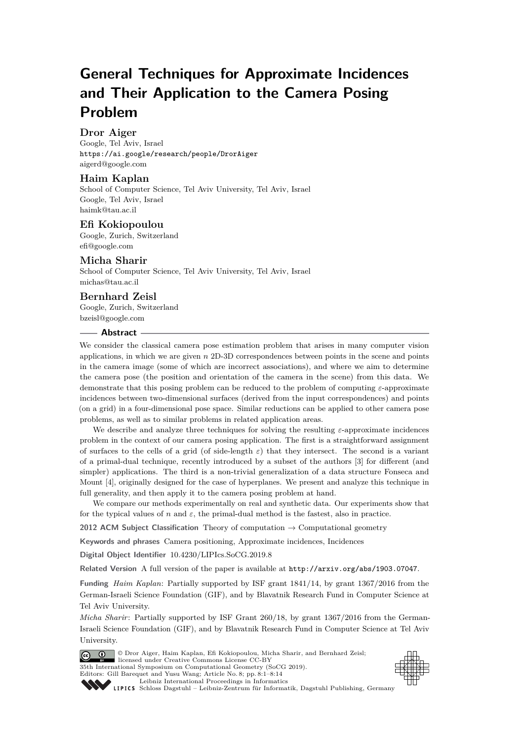# **General Techniques for Approximate Incidences and Their Application to the Camera Posing Problem**

# **Dror Aiger**

Google, Tel Aviv, Israel <https://ai.google/research/people/DrorAiger> [aigerd@google.com](mailto:aigerd@google.com)

# **Haim Kaplan**

School of Computer Science, Tel Aviv University, Tel Aviv, Israel Google, Tel Aviv, Israel [haimk@tau.ac.il](mailto:haimk@tau.ac.il)

## **Efi Kokiopoulou**

Google, Zurich, Switzerland [efi@google.com](mailto:efi@google.com)

## **Micha Sharir**

School of Computer Science, Tel Aviv University, Tel Aviv, Israel [michas@tau.ac.il](mailto:michas@tau.ac.il)

## **Bernhard Zeisl**

Google, Zurich, Switzerland [bzeisl@google.com](mailto:bzeisl@google.com)

#### **Abstract**

We consider the classical camera pose estimation problem that arises in many computer vision applications, in which we are given *n* 2D-3D correspondences between points in the scene and points in the camera image (some of which are incorrect associations), and where we aim to determine the camera pose (the position and orientation of the camera in the scene) from this data. We demonstrate that this posing problem can be reduced to the problem of computing *ε*-approximate incidences between two-dimensional surfaces (derived from the input correspondences) and points (on a grid) in a four-dimensional pose space. Similar reductions can be applied to other camera pose problems, as well as to similar problems in related application areas.

We describe and analyze three techniques for solving the resulting *ε*-approximate incidences problem in the context of our camera posing application. The first is a straightforward assignment of surfaces to the cells of a grid (of side-length *ε*) that they intersect. The second is a variant of a primal-dual technique, recently introduced by a subset of the authors [\[3\]](#page-13-0) for different (and simpler) applications. The third is a non-trivial generalization of a data structure Fonseca and Mount [\[4\]](#page-13-1), originally designed for the case of hyperplanes. We present and analyze this technique in full generality, and then apply it to the camera posing problem at hand.

We compare our methods experimentally on real and synthetic data. Our experiments show that for the typical values of *n* and  $\varepsilon$ , the primal-dual method is the fastest, also in practice.

**2012 ACM Subject Classification** Theory of computation → Computational geometry

**Keywords and phrases** Camera positioning, Approximate incidences, Incidences

**Digital Object Identifier** [10.4230/LIPIcs.SoCG.2019.8](https://doi.org/10.4230/LIPIcs.SoCG.2019.8)

**Related Version** A full version of the paper is available at <http://arxiv.org/abs/1903.07047>.

**Funding** *Haim Kaplan*: Partially supported by ISF grant 1841/14, by grant 1367/2016 from the German-Israeli Science Foundation (GIF), and by Blavatnik Research Fund in Computer Science at Tel Aviv University.

*Micha Sharir:* Partially supported by ISF Grant 260/18, by grant 1367/2016 from the German-Israeli Science Foundation (GIF), and by Blavatnik Research Fund in Computer Science at Tel Aviv University.





[Schloss Dagstuhl – Leibniz-Zentrum für Informatik, Dagstuhl Publishing, Germany](https://www.dagstuhl.de)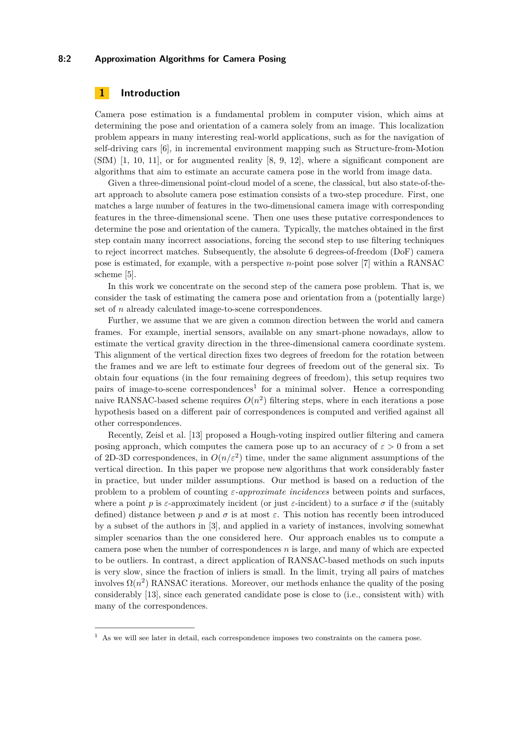## **8:2 Approximation Algorithms for Camera Posing**

# **1 Introduction**

Camera pose estimation is a fundamental problem in computer vision, which aims at determining the pose and orientation of a camera solely from an image. This localization problem appears in many interesting real-world applications, such as for the navigation of self-driving cars [\[6\]](#page-13-3), in incremental environment mapping such as Structure-from-Motion (SfM) [\[1,](#page-13-4) [10,](#page-13-5) [11\]](#page-13-6), or for augmented reality [\[8,](#page-13-7) [9,](#page-13-8) [12\]](#page-13-9), where a significant component are algorithms that aim to estimate an accurate camera pose in the world from image data.

Given a three-dimensional point-cloud model of a scene, the classical, but also state-of-theart approach to absolute camera pose estimation consists of a two-step procedure. First, one matches a large number of features in the two-dimensional camera image with corresponding features in the three-dimensional scene. Then one uses these putative correspondences to determine the pose and orientation of the camera. Typically, the matches obtained in the first step contain many incorrect associations, forcing the second step to use filtering techniques to reject incorrect matches. Subsequently, the absolute 6 degrees-of-freedom (DoF) camera pose is estimated, for example, with a perspective *n*-point pose solver [\[7\]](#page-13-10) within a RANSAC scheme [\[5\]](#page-13-11).

In this work we concentrate on the second step of the camera pose problem. That is, we consider the task of estimating the camera pose and orientation from a (potentially large) set of *n* already calculated image-to-scene correspondences.

Further, we assume that we are given a common direction between the world and camera frames. For example, inertial sensors, available on any smart-phone nowadays, allow to estimate the vertical gravity direction in the three-dimensional camera coordinate system. This alignment of the vertical direction fixes two degrees of freedom for the rotation between the frames and we are left to estimate four degrees of freedom out of the general six. To obtain four equations (in the four remaining degrees of freedom), this setup requires two pairs of image-to-scene correspondences<sup>[1](#page-1-0)</sup> for a minimal solver. Hence a corresponding naive RANSAC-based scheme requires  $O(n^2)$  filtering steps, where in each iterations a pose hypothesis based on a different pair of correspondences is computed and verified against all other correspondences.

Recently, Zeisl et al. [\[13\]](#page-13-12) proposed a Hough-voting inspired outlier filtering and camera posing approach, which computes the camera pose up to an accuracy of  $\varepsilon > 0$  from a set of 2D-3D correspondences, in  $O(n/\varepsilon^2)$  time, under the same alignment assumptions of the vertical direction. In this paper we propose new algorithms that work considerably faster in practice, but under milder assumptions. Our method is based on a reduction of the problem to a problem of counting *ε-approximate incidences* between points and surfaces, where a point *p* is *ε*-approximately incident (or just *ε*-incident) to a surface  $\sigma$  if the (suitably defined) distance between  $p$  and  $\sigma$  is at most  $\varepsilon$ . This notion has recently been introduced by a subset of the authors in [\[3\]](#page-13-0), and applied in a variety of instances, involving somewhat simpler scenarios than the one considered here. Our approach enables us to compute a camera pose when the number of correspondences *n* is large, and many of which are expected to be outliers. In contrast, a direct application of RANSAC-based methods on such inputs is very slow, since the fraction of inliers is small. In the limit, trying all pairs of matches involves  $\Omega(n^2)$  RANSAC iterations. Moreover, our methods enhance the quality of the posing considerably [\[13\]](#page-13-12), since each generated candidate pose is close to (i.e., consistent with) with many of the correspondences.

<span id="page-1-0"></span> $<sup>1</sup>$  As we will see later in detail, each correspondence imposes two constraints on the camera pose.</sup>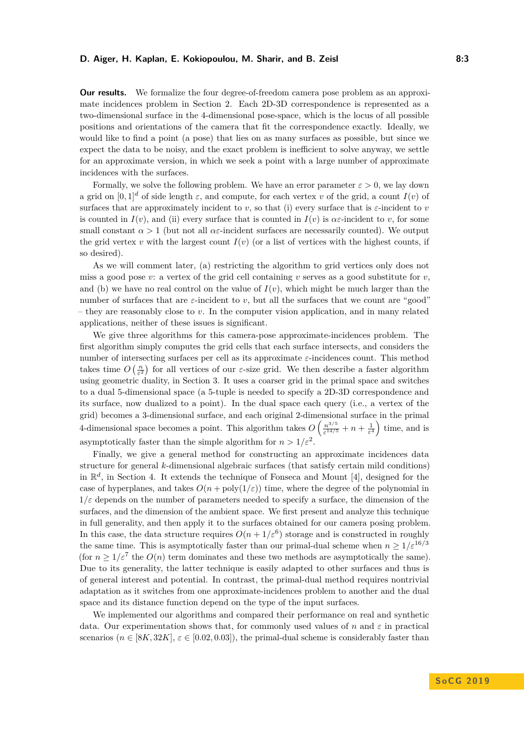#### **D. Aiger, H. Kaplan, E. Kokiopoulou, M. Sharir, and B. Zeisl 8:3**

**Our results.** We formalize the four degree-of-freedom camera pose problem as an approximate incidences problem in Section [2.](#page-3-0) Each 2D-3D correspondence is represented as a two-dimensional surface in the 4-dimensional pose-space, which is the locus of all possible positions and orientations of the camera that fit the correspondence exactly. Ideally, we would like to find a point (a pose) that lies on as many surfaces as possible, but since we expect the data to be noisy, and the exact problem is inefficient to solve anyway, we settle for an approximate version, in which we seek a point with a large number of approximate incidences with the surfaces.

Formally, we solve the following problem. We have an error parameter  $\varepsilon > 0$ , we lay down a grid on  $[0,1]^d$  of side length  $\varepsilon$ , and compute, for each vertex *v* of the grid, a count  $I(v)$  of surfaces that are approximately incident to *v*, so that (i) every surface that is *ε*-incident to *v* is counted in  $I(v)$ , and (ii) every surface that is counted in  $I(v)$  is  $\alpha \varepsilon$ -incident to *v*, for some small constant  $\alpha > 1$  (but not all  $\alpha \varepsilon$ -incident surfaces are necessarily counted). We output the grid vertex *v* with the largest count  $I(v)$  (or a list of vertices with the highest counts, if so desired).

As we will comment later, (a) restricting the algorithm to grid vertices only does not miss a good pose  $v:$  a vertex of the grid cell containing  $v$  serves as a good substitute for  $v$ , and (b) we have no real control on the value of  $I(v)$ , which might be much larger than the number of surfaces that are  $\varepsilon$ -incident to *v*, but all the surfaces that we count are "good" – they are reasonably close to *v*. In the computer vision application, and in many related applications, neither of these issues is significant.

We give three algorithms for this camera-pose approximate-incidences problem. The first algorithm simply computes the grid cells that each surface intersects, and considers the number of intersecting surfaces per cell as its approximate *ε*-incidences count. This method takes time  $O\left(\frac{n}{\varepsilon^2}\right)$  for all vertices of our  $\varepsilon$ -size grid. We then describe a faster algorithm using geometric duality, in Section [3.](#page-6-0) It uses a coarser grid in the primal space and switches to a dual 5-dimensional space (a 5-tuple is needed to specify a 2D-3D correspondence and its surface, now dualized to a point). In the dual space each query (i.e., a vertex of the grid) becomes a 3-dimensional surface, and each original 2-dimensional surface in the primal 4-dimensional space becomes a point. This algorithm takes  $O\left(\frac{n^{3/5}}{14^{1/5}}\right)$  $\frac{n^{3/5}}{\varepsilon^{14/5}} + n + \frac{1}{\varepsilon^4}$  time, and is asymptotically faster than the simple algorithm for  $n > 1/\varepsilon^2$ .

Finally, we give a general method for constructing an approximate incidences data structure for general *k*-dimensional algebraic surfaces (that satisfy certain mild conditions) in R *d* , in Section [4.](#page-8-0) It extends the technique of Fonseca and Mount [\[4\]](#page-13-1), designed for the case of hyperplanes, and takes  $O(n + \text{poly}(1/\varepsilon))$  time, where the degree of the polynomial in  $1/\varepsilon$  depends on the number of parameters needed to specify a surface, the dimension of the surfaces, and the dimension of the ambient space. We first present and analyze this technique in full generality, and then apply it to the surfaces obtained for our camera posing problem. In this case, the data structure requires  $O(n + 1/\varepsilon^6)$  storage and is constructed in roughly the same time. This is asymptotically faster than our primal-dual scheme when  $n \geq 1/\varepsilon^{16/3}$ (for  $n \geq 1/\varepsilon^7$  the  $O(n)$  term dominates and these two methods are asymptotically the same). Due to its generality, the latter technique is easily adapted to other surfaces and thus is of general interest and potential. In contrast, the primal-dual method requires nontrivial adaptation as it switches from one approximate-incidences problem to another and the dual space and its distance function depend on the type of the input surfaces.

We implemented our algorithms and compared their performance on real and synthetic data. Our experimentation shows that, for commonly used values of *n* and  $\varepsilon$  in practical scenarios  $(n \in [8K, 32K], \varepsilon \in [0.02, 0.03]$ , the primal-dual scheme is considerably faster than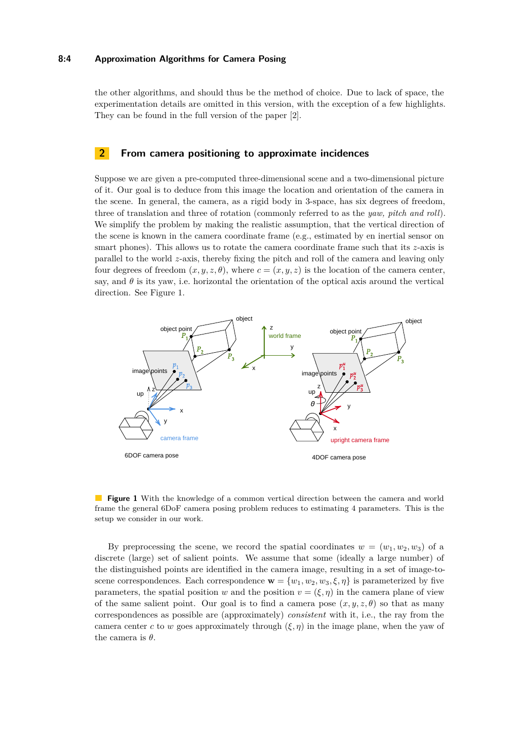## **8:4 Approximation Algorithms for Camera Posing**

the other algorithms, and should thus be the method of choice. Due to lack of space, the experimentation details are omitted in this version, with the exception of a few highlights. They can be found in the full version of the paper [\[2\]](#page-13-13).

## <span id="page-3-0"></span>**2 From camera positioning to approximate incidences**

Suppose we are given a pre-computed three-dimensional scene and a two-dimensional picture of it. Our goal is to deduce from this image the location and orientation of the camera in the scene. In general, the camera, as a rigid body in 3-space, has six degrees of freedom, three of translation and three of rotation (commonly referred to as the *yaw, pitch and roll*). We simplify the problem by making the realistic assumption, that the vertical direction of the scene is known in the camera coordinate frame (e.g., estimated by en inertial sensor on smart phones). This allows us to rotate the camera coordinate frame such that its *z*-axis is parallel to the world *z*-axis, thereby fixing the pitch and roll of the camera and leaving only four degrees of freedom  $(x, y, z, \theta)$ , where  $c = (x, y, z)$  is the location of the camera center, say, and  $\theta$  is its yaw, i.e. horizontal the orientation of the optical axis around the vertical direction. See Figure [1.](#page-3-1)

<span id="page-3-1"></span>

**Figure 1** With the knowledge of a common vertical direction between the camera and world frame the general 6DoF camera posing problem reduces to estimating 4 parameters. This is the setup we consider in our work.

By preprocessing the scene, we record the spatial coordinates  $w = (w_1, w_2, w_3)$  of a discrete (large) set of salient points. We assume that some (ideally a large number) of the distinguished points are identified in the camera image, resulting in a set of image-toscene correspondences. Each correspondence  $\mathbf{w} = \{w_1, w_2, w_3, \xi, \eta\}$  is parameterized by five parameters, the spatial position *w* and the position  $v = (\xi, \eta)$  in the camera plane of view of the same salient point. Our goal is to find a camera pose  $(x, y, z, \theta)$  so that as many correspondences as possible are (approximately) *consistent* with it, i.e., the ray from the camera center *c* to *w* goes approximately through  $(\xi, \eta)$  in the image plane, when the yaw of the camera is *θ*.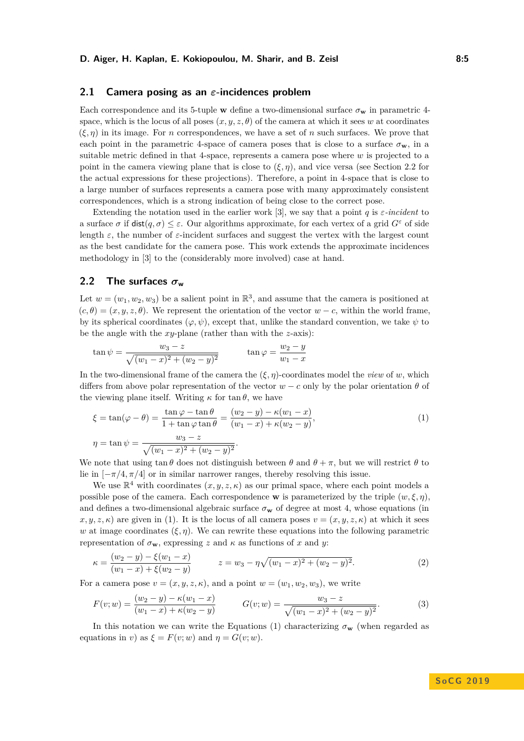## **2.1 Camera posing as an** *ε***-incidences problem**

Each correspondence and its 5-tuple **w** define a two-dimensional surface  $\sigma_{\mathbf{w}}$  in parametric 4space, which is the locus of all poses  $(x, y, z, \theta)$  of the camera at which it sees w at coordinates  $(\xi, \eta)$  in its image. For *n* correspondences, we have a set of *n* such surfaces. We prove that each point in the parametric 4-space of camera poses that is close to a surface  $\sigma_{\mathbf{w}}$ , in a suitable metric defined in that 4-space, represents a camera pose where *w* is projected to a point in the camera viewing plane that is close to  $(\xi, \eta)$ , and vice versa (see Section [2.2](#page-4-0) for the actual expressions for these projections). Therefore, a point in 4-space that is close to a large number of surfaces represents a camera pose with many approximately consistent correspondences, which is a strong indication of being close to the correct pose.

Extending the notation used in the earlier work [\[3\]](#page-13-0), we say that a point *q* is *ε-incident* to a surface  $\sigma$  if  $dist(q, \sigma) \leq \varepsilon$ . Our algorithms approximate, for each vertex of a grid  $G^{\varepsilon}$  of side length  $\varepsilon$ , the number of  $\varepsilon$ -incident surfaces and suggest the vertex with the largest count as the best candidate for the camera pose. This work extends the approximate incidences methodology in [\[3\]](#page-13-0) to the (considerably more involved) case at hand.

## <span id="page-4-0"></span>**2.2** The surfaces  $\sigma_w$

Let  $w = (w_1, w_2, w_3)$  be a salient point in  $\mathbb{R}^3$ , and assume that the camera is positioned at  $(c, \theta) = (x, y, z, \theta)$ . We represent the orientation of the vector  $w - c$ , within the world frame, by its spherical coordinates  $(\varphi, \psi)$ , except that, unlike the standard convention, we take  $\psi$  to be the angle with the *xy*-plane (rather than with the *z*-axis):

$$
\tan \psi = \frac{w_3 - z}{\sqrt{(w_1 - x)^2 + (w_2 - y)^2}} \qquad \tan \varphi = \frac{w_2 - y}{w_1 - x}
$$

In the two-dimensional frame of the camera the  $(\xi, \eta)$ -coordinates model the *view* of *w*, which differs from above polar representation of the vector  $w - c$  only by the polar orientation  $\theta$  of the viewing plane itself. Writing  $\kappa$  for tan  $\theta$ , we have

<span id="page-4-1"></span>
$$
\xi = \tan(\varphi - \theta) = \frac{\tan\varphi - \tan\theta}{1 + \tan\varphi \tan\theta} = \frac{(w_2 - y) - \kappa(w_1 - x)}{(w_1 - x) + \kappa(w_2 - y)},
$$
  
\n
$$
\eta = \tan\psi = \frac{w_3 - z}{\sqrt{(w_1 - x)^2 + (w_2 - y)^2}}.
$$
\n(1)

We note that using tan  $\theta$  does not distinguish between  $\theta$  and  $\theta + \pi$ , but we will restrict  $\theta$  to lie in  $[-\pi/4, \pi/4]$  or in similar narrower ranges, thereby resolving this issue.

We use  $\mathbb{R}^4$  with coordinates  $(x, y, z, \kappa)$  as our primal space, where each point models a possible pose of the camera. Each correspondence **w** is parameterized by the triple  $(w, \xi, \eta)$ , and defines a two-dimensional algebraic surface  $\sigma_{\bf w}$  of degree at most 4, whose equations (in  $x, y, z, \kappa$  are given in [\(1\)](#page-4-1). It is the locus of all camera poses  $v = (x, y, z, \kappa)$  at which it sees *w* at image coordinates  $(\xi, \eta)$ . We can rewrite these equations into the following parametric representation of  $\sigma_{\mathbf{w}}$ , expressing *z* and  $\kappa$  as functions of *x* and *y*:

<span id="page-4-3"></span>
$$
\kappa = \frac{(w_2 - y) - \xi(w_1 - x)}{(w_1 - x) + \xi(w_2 - y)} \qquad z = w_3 - \eta \sqrt{(w_1 - x)^2 + (w_2 - y)^2}.
$$
 (2)

For a camera pose  $v = (x, y, z, \kappa)$ , and a point  $w = (w_1, w_2, w_3)$ , we write

<span id="page-4-2"></span>
$$
F(v; w) = \frac{(w_2 - y) - \kappa(w_1 - x)}{(w_1 - x) + \kappa(w_2 - y)} \qquad G(v; w) = \frac{w_3 - z}{\sqrt{(w_1 - x)^2 + (w_2 - y)^2}}.
$$
 (3)

In this notation we can write the Equations [\(1\)](#page-4-1) characterizing  $\sigma_{\bf w}$  (when regarded as equations in *v*) as  $\xi = F(v; w)$  and  $\eta = G(v; w)$ .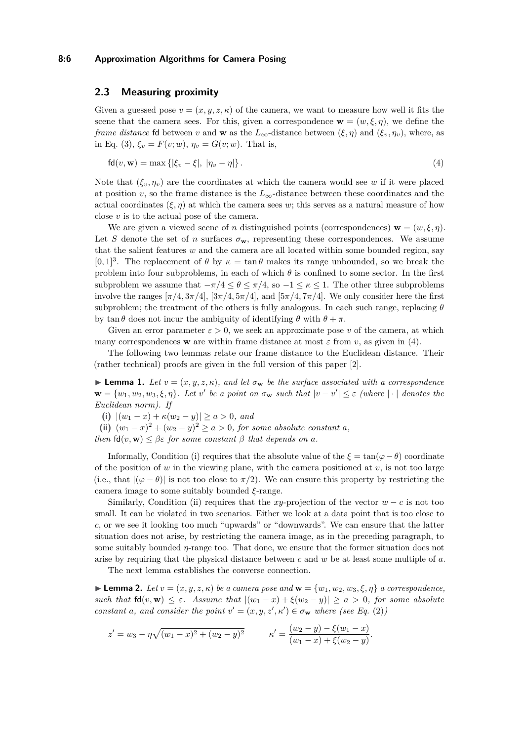### **8:6 Approximation Algorithms for Camera Posing**

## **2.3 Measuring proximity**

Given a guessed pose  $v = (x, y, z, \kappa)$  of the camera, we want to measure how well it fits the scene that the camera sees. For this, given a correspondence  $\mathbf{w} = (w, \xi, \eta)$ , we define the *frame distance* fd between *v* and **w** as the  $L_{\infty}$ -distance between  $(\xi, \eta)$  and  $(\xi_{\eta}, \eta_{\eta})$ , where, as in Eq. [\(3\)](#page-4-2),  $\xi_v = F(v; w)$ ,  $\eta_v = G(v; w)$ . That is,

<span id="page-5-0"></span>
$$
fd(v, w) = \max \{ |\xi_v - \xi|, |\eta_v - \eta| \}.
$$
 (4)

Note that  $(\xi_v, \eta_v)$  are the coordinates at which the camera would see *w* if it were placed at position *v*, so the frame distance is the  $L_{\infty}$ -distance between these coordinates and the actual coordinates  $(\xi, \eta)$  at which the camera sees *w*; this serves as a natural measure of how close *v* is to the actual pose of the camera.

We are given a viewed scene of *n* distinguished points (correspondences)  $\mathbf{w} = (w, \xi, \eta)$ . Let *S* denote the set of *n* surfaces  $\sigma_w$ , representing these correspondences. We assume that the salient features *w* and the camera are all located within some bounded region, say [0, 1]<sup>3</sup>. The replacement of  $\theta$  by  $\kappa = \tan \theta$  makes its range unbounded, so we break the problem into four subproblems, in each of which  $\theta$  is confined to some sector. In the first subproblem we assume that  $-\pi/4 \leq \theta \leq \pi/4$ , so  $-1 \leq \kappa \leq 1$ . The other three subproblems involve the ranges  $[\pi/4, 3\pi/4]$ ,  $[3\pi/4, 5\pi/4]$ , and  $[5\pi/4, 7\pi/4]$ . We only consider here the first subproblem; the treatment of the others is fully analogous. In each such range, replacing  $\theta$ by tan  $\theta$  does not incur the ambiguity of identifying  $\theta$  with  $\theta + \pi$ .

Given an error parameter  $\varepsilon > 0$ , we seek an approximate pose *v* of the camera, at which many correspondences **w** are within frame distance at most  $\varepsilon$  from *v*, as given in [\(4\)](#page-5-0).

The following two lemmas relate our frame distance to the Euclidean distance. Their (rather technical) proofs are given in the full version of this paper [\[2\]](#page-13-13).

<span id="page-5-2"></span>**Lemma 1.** Let  $v = (x, y, z, \kappa)$ , and let  $\sigma_{\mathbf{w}}$  be the surface associated with a correspondence  $\mathbf{w} = \{w_1, w_2, w_3, \xi, \eta\}$ *. Let*  $v'$  be a point on  $\sigma_{\mathbf{w}}$  such that  $|v - v'| \leq \varepsilon$  (where  $|\cdot|$  denotes the *Euclidean norm). If*

**(i)**  $|(w_1 - x) + \kappa(w_2 - y)| \ge a > 0$ *, and* 

**(ii)**  $(w_1 - x)^2 + (w_2 - y)^2 \ge a > 0$ , for some absolute constant *a*,

*then*  $fd(v, w) \leq \beta \epsilon$  *for some constant*  $\beta$  *that depends on a.* 

Informally, Condition (i) requires that the absolute value of the  $\xi = \tan(\varphi - \theta)$  coordinate of the position of  $w$  in the viewing plane, with the camera positioned at  $v$ , is not too large (i.e., that  $|(\varphi - \theta)|$  is not too close to  $\pi/2$ ). We can ensure this property by restricting the camera image to some suitably bounded *ξ*-range.

Similarly, Condition (ii) requires that the *xy*-projection of the vector  $w - c$  is not too small. It can be violated in two scenarios. Either we look at a data point that is too close to *c*, or we see it looking too much "upwards" or "downwards". We can ensure that the latter situation does not arise, by restricting the camera image, as in the preceding paragraph, to some suitably bounded *η*-range too. That done, we ensure that the former situation does not arise by requiring that the physical distance between *c* and *w* be at least some multiple of *a*.

The next lemma establishes the converse connection.

<span id="page-5-1"></span> $\blacktriangleright$  **Lemma 2.** *Let*  $v = (x, y, z, \kappa)$  *be a camera pose and*  $\mathbf{w} = \{w_1, w_2, w_3, \xi, \eta\}$  *a correspondence, such that*  $fd(v, w) \leq \varepsilon$ *. Assume that*  $|(w_1 - x) + \xi(w_2 - y)| \geq a > 0$ , for some absolute *constant a*, and consider the point  $v' = (x, y, z', \kappa') \in \sigma_{\mathbf{w}}$  where (see Eq. [\(2\)](#page-4-3))

$$
z' = w_3 - \eta \sqrt{(w_1 - x)^2 + (w_2 - y)^2} \qquad \kappa' = \frac{(w_2 - y) - \xi(w_1 - x)}{(w_1 - x) + \xi(w_2 - y)}.
$$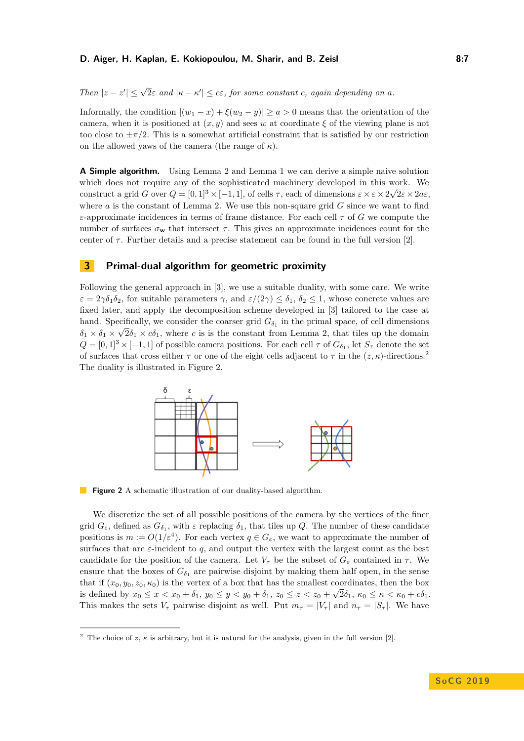#### **D. Aiger, H. Kaplan, E. Kokiopoulou, M. Sharir, and B. Zeisl The Community Community Reports A:7**

*Then*  $|z - z'| \leq \sqrt{2\varepsilon}$  *and*  $|\kappa - \kappa'| \leq c\varepsilon$ *, for some constant c, again depending on a.* 

Informally, the condition  $|(w_1 - x) + \xi(w_2 - y)| \ge a > 0$  means that the orientation of the camera, when it is positioned at  $(x, y)$  and sees w at coordinate  $\xi$  of the viewing plane is not too close to  $\pm \pi/2$ . This is a somewhat artificial constraint that is satisfied by our restriction on the allowed yaws of the camera (the range of  $\kappa$ ).

**A Simple algorithm.** Using Lemma [2](#page-5-1) and Lemma [1](#page-5-2) we can derive a simple naive solution which does not require any of the sophisticated machinery developed in this work. We construct a grid *G* over  $Q = [0, 1]^3 \times [-1, 1]$ , of cells  $\tau$ , each of dimensions  $\varepsilon \times \varepsilon \times 2\sqrt{2\varepsilon} \times 2a\varepsilon$ , where *a* is the constant of Lemma [2.](#page-5-1) We use this non-square grid *G* since we want to find *ε*-approximate incidences in terms of frame distance. For each cell *τ* of *G* we compute the number of surfaces  $\sigma_{\bf w}$  that intersect  $\tau$ . This gives an approximate incidences count for the center of  $\tau$ . Further details and a precise statement can be found in the full version [\[2\]](#page-13-13).

## <span id="page-6-0"></span>**3 Primal-dual algorithm for geometric proximity**

Following the general approach in [\[3\]](#page-13-0), we use a suitable duality, with some care. We write  $\varepsilon = 2\gamma \delta_1 \delta_2$ , for suitable parameters  $\gamma$ , and  $\varepsilon/(2\gamma) \leq \delta_1$ ,  $\delta_2 \leq 1$ , whose concrete values are fixed later, and apply the decomposition scheme developed in [\[3\]](#page-13-0) tailored to the case at hand. Specifically, we consider the coarser grid  $G_{\delta_1}$  in the primal space, of cell dimensions  $\delta_1 \times \delta_1 \times \sqrt{2\delta_1} \times c\delta_1$ , where *c* is is the constant from Lemma [2,](#page-5-1) that tiles up the domain  $Q = [0, 1]^3 \times [-1, 1]$  of possible camera positions. For each cell  $\tau$  of  $G_{\delta_1}$ , let  $S_{\tau}$  denote the set of surfaces that cross either  $\tau$  or one of the eight cells adjacent to  $\tau$  in the  $(z, \kappa)$ -directions.<sup>[2](#page-6-1)</sup> The duality is illustrated in Figure [2.](#page-6-2)

<span id="page-6-2"></span>

**Figure 2** A schematic illustration of our duality-based algorithm.

We discretize the set of all possible positions of the camera by the vertices of the finer grid  $G_{\varepsilon}$ , defined as  $G_{\delta_1}$ , with  $\varepsilon$  replacing  $\delta_1$ , that tiles up  $Q$ . The number of these candidate positions is  $m := O(1/\varepsilon^4)$ . For each vertex  $q \in G_{\varepsilon}$ , we want to approximate the number of surfaces that are *ε*-incident to *q*, and output the vertex with the largest count as the best candidate for the position of the camera. Let  $V_{\tau}$  be the subset of  $G_{\varepsilon}$  contained in  $\tau$ . We ensure that the boxes of  $G_{\delta_1}$  are pairwise disjoint by making them half open, in the sense that if  $(x_0, y_0, z_0, \kappa_0)$  is the vertex of a box that has the smallest coordinates, then the box is defined by  $x_0 \le x < x_0 + \delta_1$ ,  $y_0 \le y < y_0 + \delta_1$ ,  $z_0 \le z < z_0 + \sqrt{2\delta_1}$ ,  $\kappa_0 \le \kappa < \kappa_0 + c\delta_1$ . This makes the sets  $V_\tau$  pairwise disjoint as well. Put  $m_\tau = |V_\tau|$  and  $n_\tau = |S_\tau|$ . We have

<span id="page-6-1"></span><sup>&</sup>lt;sup>2</sup> The choice of *z*,  $\kappa$  is arbitrary, but it is natural for the analysis, given in the full version [\[2\]](#page-13-13).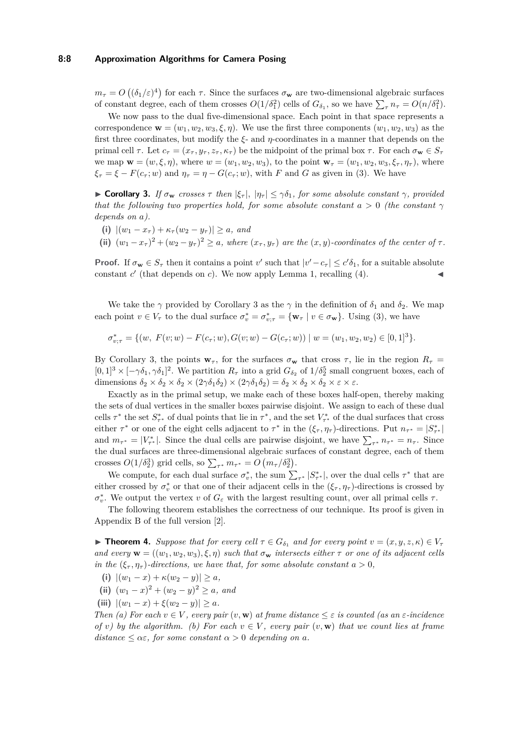### **8:8 Approximation Algorithms for Camera Posing**

 $m_{\tau} = O\left((\delta_1/\varepsilon)^4\right)$  for each  $\tau$ . Since the surfaces  $\sigma_{\mathbf{w}}$  are two-dimensional algebraic surfaces of constant degree, each of them crosses  $O(1/\delta_1^2)$  cells of  $G_{\delta_1}$ , so we have  $\sum_{\tau} n_{\tau} = O(n/\delta_1^2)$ .

We now pass to the dual five-dimensional space. Each point in that space represents a correspondence  $\mathbf{w} = (w_1, w_2, w_3, \xi, \eta)$ . We use the first three components  $(w_1, w_2, w_3)$  as the first three coordinates, but modify the *ξ*- and *η*-coordinates in a manner that depends on the primal cell  $\tau$ . Let  $c_{\tau} = (x_{\tau}, y_{\tau}, z_{\tau}, \kappa_{\tau})$  be the midpoint of the primal box  $\tau$ . For each  $\sigma_{\mathbf{w}} \in S_{\tau}$ we map  $\mathbf{w} = (w, \xi, \eta)$ , where  $w = (w_1, w_2, w_3)$ , to the point  $\mathbf{w}_\tau = (w_1, w_2, w_3, \xi_\tau, \eta_\tau)$ , where  $\xi_{\tau} = \xi - F(c_{\tau}; w)$  and  $\eta_{\tau} = \eta - G(c_{\tau}; w)$ , with *F* and *G* as given in [\(3\)](#page-4-2). We have

<span id="page-7-0"></span> $\triangleright$  **Corollary 3.** *If*  $\sigma_{\bf w}$  *crosses*  $\tau$  *then*  $|\xi_{\tau}|$ *,*  $|\eta_{\tau}| \leq \gamma \delta_1$ *, for some absolute constant*  $\gamma$ *, provided that the following two properties hold, for some absolute constant*  $a > 0$  *(the constant*  $\gamma$ *depends on a).*

- **(i)**  $|(w_1 x_\tau) + \kappa_\tau (w_2 y_\tau)| \ge a$ , and
- (ii)  $(w_1 x_\tau)^2 + (w_2 y_\tau)^2 \ge a$ , where  $(x_\tau, y_\tau)$  are the  $(x, y)$ -coordinates of the center of  $\tau$ .

**Proof.** If  $\sigma_{\mathbf{w}} \in S_{\tau}$  then it contains a point *v*' such that  $|v' - c_{\tau}| \le c' \delta_1$ , for a suitable absolute constant  $c'$  (that depends on  $c$ ). We now apply Lemma [1,](#page-5-2) recalling [\(4\)](#page-5-0).

We take the  $\gamma$  provided by Corollary [3](#page-7-0) as the  $\gamma$  in the definition of  $\delta_1$  and  $\delta_2$ . We map each point  $v \in V_{\tau}$  to the dual surface  $\sigma_v^* = \sigma_{v;\tau}^* = {\mathbf{w}_{\tau} \mid v \in \sigma_{\mathbf{w}}}$ . Using [\(3\)](#page-4-2), we have

$$
\sigma_{v;\tau}^* = \{ (w, F(v; w) - F(c_\tau; w), G(v; w) - G(c_\tau; w)) \mid w = (w_1, w_2, w_2) \in [0, 1]^3 \}.
$$

By Corollary [3,](#page-7-0) the points  $\mathbf{w}_\tau$ , for the surfaces  $\sigma_\mathbf{w}$  that cross  $\tau$ , lie in the region  $R_\tau =$  $[0,1]^3 \times [-\gamma \delta_1, \gamma \delta_1]^2$ . We partition  $R_\tau$  into a grid  $G_{\delta_2}$  of  $1/\delta_2^5$  small congruent boxes, each of dimensions  $\delta_2 \times \delta_2 \times \delta_2 \times (2\gamma \delta_1 \delta_2) \times (2\gamma \delta_1 \delta_2) = \delta_2 \times \delta_2 \times \delta_2 \times \varepsilon$ .

Exactly as in the primal setup, we make each of these boxes half-open, thereby making the sets of dual vertices in the smaller boxes pairwise disjoint. We assign to each of these dual cells  $\tau^*$  the set  $S^*_{\tau^*}$  of dual points that lie in  $\tau^*$ , and the set  $V^*_{\tau^*}$  of the dual surfaces that cross either  $\tau^*$  or one of the eight cells adjacent to  $\tau^*$  in the  $(\xi_{\tau}, \eta_{\tau})$ -directions. Put  $n_{\tau^*} = |S^*_{\tau^*}|$ and  $m_{\tau^*} = |V_{\tau^*}^*|$ . Since the dual cells are pairwise disjoint, we have  $\sum_{\tau^*} n_{\tau^*} = n_{\tau}$ . Since the dual surfaces are three-dimensional algebraic surfaces of constant degree, each of them crosses  $O(1/\delta_2^3)$  grid cells, so  $\sum_{\tau^*} m_{\tau^*} = O(m_{\tau}/\delta_2^3)$ .

We compute, for each dual surface  $\sigma_v^*$ , the sum  $\sum_{\tau^*} |S_{\tau^*}^*|$ , over the dual cells  $\tau^*$  that are either crossed by  $\sigma_v^*$  or that one of their adjacent cells in the  $(\xi_\tau, \eta_\tau)$ -directions is crossed by *σ*<sup>\*</sup>, We output the vertex *v* of  $G$ <sup>*ε*</sup> with the largest resulting count, over all primal cells *τ*.

The following theorem establishes the correctness of our technique. Its proof is given in Appendix B of the full version [\[2\]](#page-13-13).

<span id="page-7-1"></span>**Find 1.** *Suppose that for every cell*  $\tau \in G_{\delta_1}$  *and for every point*  $v = (x, y, z, \kappa) \in V_{\tau}$ *and every*  $\mathbf{w} = ((w_1, w_2, w_3), \xi, \eta)$  *such that*  $\sigma_{\mathbf{w}}$  *intersects either*  $\tau$  *or one of its adjacent cells in the*  $(\xi_{\tau}, \eta_{\tau})$ *-directions, we have that, for some absolute constant*  $a > 0$ *,* 

- **(i)**  $|(w_1 x) + \kappa(w_2 y)| > a$ ,
- (ii)  $(w_1 x)^2 + (w_2 y)^2 \ge a$ *, and*
- **(iii)**  $|(w_1 x) + \xi(w_2 y)| \ge a$ .

*Then* (a) For each  $v \in V$ , every pair  $(v, \mathbf{w})$  at frame distance  $\leq \varepsilon$  *is counted (as an*  $\varepsilon$ *-incidence of v*) by the algorithm. (b) For each  $v \in V$ , every pair  $(v, \mathbf{w})$  that we count lies at frame  $distance \leq \alpha \varepsilon$ , for some constant  $\alpha > 0$  *depending on*  $\alpha$ *.*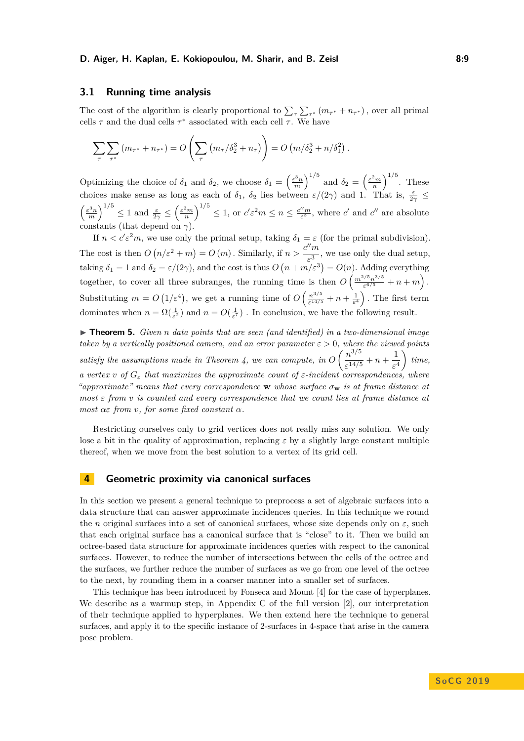### **D. Aiger, H. Kaplan, E. Kokiopoulou, M. Sharir, and B. Zeisl 8:9**

## **3.1 Running time analysis**

The cost of the algorithm is clearly proportional to  $\sum_{\tau} \sum_{\tau^*} (m_{\tau^*} + n_{\tau^*})$ , over all primal cells  $\tau$  and the dual cells  $\tau^*$  associated with each cell  $\tau$ . We have

$$
\sum_{\tau} \sum_{\tau^*} (m_{\tau^*} + n_{\tau^*}) = O\left(\sum_{\tau} \left(m_{\tau}/\delta_2^3 + n_{\tau}\right)\right) = O\left(m/\delta_2^3 + n/\delta_1^2\right).
$$

Optimizing the choice of  $\delta_1$  and  $\delta_2$ , we choose  $\delta_1 = \left(\frac{\varepsilon^3 n}{m}\right)^{1/5}$  and  $\delta_2 = \left(\frac{\varepsilon^2 m}{n}\right)^{1/5}$ . These choices make sense as long as each of  $\delta_1$ ,  $\delta_2$  lies between  $\varepsilon/(2\gamma)$  and 1. That is,  $\frac{\varepsilon}{2\gamma} \leq$  $\left(\frac{\varepsilon^3 n}{m}\right)^{1/5} \leq 1$  and  $\frac{\varepsilon}{2\gamma} \leq \left(\frac{\varepsilon^2 m}{n}\right)^{1/5} \leq 1$ , or  $c'\varepsilon^2 m \leq n \leq \frac{c''m}{\varepsilon^3}$ , where  $c'$  and  $c''$  are absolute constants (that depend on  $\gamma$ ).

If  $n < c' \varepsilon^2 m$ , we use only the primal setup, taking  $\delta_1 = \varepsilon$  (for the primal subdivision). The cost is then  $O(n/\varepsilon^2 + m) = O(m)$ . Similarly, if  $n > \frac{c^{\prime\prime}m}{2}$  $\frac{m}{\varepsilon^3}$ , we use only the dual setup, taking  $\delta_1 = 1$  and  $\delta_2 = \varepsilon/(2\gamma)$ , and the cost is thus  $O(n + m/\varepsilon^3) = O(n)$ . Adding everything together, to cover all three subranges, the running time is then  $O\left(\frac{m^{2/5}n^{3/5}}{e^{6/5}}\right)$  $\frac{e^{i/5}n^{3/5}}{e^{6/5}} + n + m$ ). Substituting  $m = O(1/\varepsilon^4)$ , we get a running time of  $O\left(\frac{n^{3/5}}{\varepsilon^{14/\xi}}\right)$  $\frac{n^{3/5}}{\varepsilon^{14/5}} + n + \frac{1}{\varepsilon^4}$ . The first term dominates when  $n = \Omega(\frac{1}{\varepsilon^2})$  and  $n = O(\frac{1}{\varepsilon^7})$ . In conclusion, we have the following result.

▶ **Theorem 5.** *Given n data points that are seen (and identified) in a two-dimensional image taken by a vertically positioned camera, and an error parameter*  $\varepsilon > 0$ *, where the viewed points* satisfy the assumptions made in Theorem [4,](#page-7-1) we can compute, in  $O\left(\frac{n^{3/5}}{14/5}\right)$  $\frac{n^{3/5}}{\varepsilon^{14/5}} + n + \frac{1}{\varepsilon^4}$ *ε* 4  $\bigg)$  *time, a vertex v of*  $G_{\varepsilon}$  *that maximizes the approximate count of*  $\varepsilon$ *-incident correspondences, where "approximate" means that every correspondence* **w** *whose surface σ***<sup>w</sup>** *is at frame distance at most ε from v is counted and every correspondence that we count lies at frame distance at most αε from v, for some fixed constant α.*

Restricting ourselves only to grid vertices does not really miss any solution. We only lose a bit in the quality of approximation, replacing  $\varepsilon$  by a slightly large constant multiple thereof, when we move from the best solution to a vertex of its grid cell.

# <span id="page-8-0"></span>**4 Geometric proximity via canonical surfaces**

In this section we present a general technique to preprocess a set of algebraic surfaces into a data structure that can answer approximate incidences queries. In this technique we round the *n* original surfaces into a set of canonical surfaces, whose size depends only on  $\varepsilon$ , such that each original surface has a canonical surface that is "close" to it. Then we build an octree-based data structure for approximate incidences queries with respect to the canonical surfaces. However, to reduce the number of intersections between the cells of the octree and the surfaces, we further reduce the number of surfaces as we go from one level of the octree to the next, by rounding them in a coarser manner into a smaller set of surfaces.

This technique has been introduced by Fonseca and Mount [\[4\]](#page-13-1) for the case of hyperplanes. We describe as a warmup step, in Appendix C of the full version [\[2\]](#page-13-13), our interpretation of their technique applied to hyperplanes. We then extend here the technique to general surfaces, and apply it to the specific instance of 2-surfaces in 4-space that arise in the camera pose problem.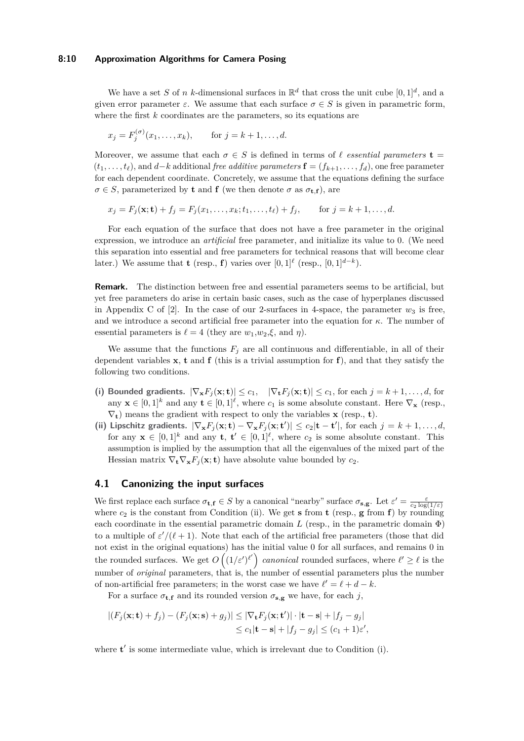### **8:10 Approximation Algorithms for Camera Posing**

We have a set *S* of *n k*-dimensional surfaces in  $\mathbb{R}^d$  that cross the unit cube  $[0, 1]^d$ , and a given error parameter  $\varepsilon$ . We assume that each surface  $\sigma \in S$  is given in parametric form, where the first *k* coordinates are the parameters, so its equations are

$$
x_j = F_j^{(\sigma)}(x_1, \dots, x_k), \quad \text{for } j = k+1, \dots, d.
$$

Moreover, we assume that each  $\sigma \in S$  is defined in terms of  $\ell$  *essential parameters* **t** =  $(t_1, \ldots, t_\ell)$ , and *d*−*k* additional *free additive parameters* **f** =  $(f_{k+1}, \ldots, f_d)$ , one free parameter for each dependent coordinate. Concretely, we assume that the equations defining the surface  $\sigma \in S$ , parameterized by **t** and **f** (we then denote  $\sigma$  as  $\sigma_{\text{t.f}}$ ), are

$$
x_j = F_j(\mathbf{x}; \mathbf{t}) + f_j = F_j(x_1, ..., x_k; t_1, ..., t_\ell) + f_j,
$$
 for  $j = k + 1, ..., d$ .

For each equation of the surface that does not have a free parameter in the original expression, we introduce an *artificial* free parameter, and initialize its value to 0. (We need this separation into essential and free parameters for technical reasons that will become clear later.) We assume that **t** (resp., **f**) varies over  $[0,1]^\ell$  (resp.,  $[0,1]^{d-k}$ ).

**Remark.** The distinction between free and essential parameters seems to be artificial, but yet free parameters do arise in certain basic cases, such as the case of hyperplanes discussed in Appendix C of  $[2]$ . In the case of our 2-surfaces in 4-space, the parameter  $w_3$  is free, and we introduce a second artificial free parameter into the equation for *κ*. The number of essential parameters is  $\ell = 4$  (they are  $w_1, w_2, \xi$ , and  $\eta$ ).

We assume that the functions  $F_j$  are all continuous and differentiable, in all of their dependent variables **x**, **t** and **f** (this is a trivial assumption for **f**), and that they satisfy the following two conditions.

- (i) Bounded gradients.  $|\nabla_{\mathbf{x}} F_j(\mathbf{x}; \mathbf{t})| \leq c_1$ ,  $|\nabla_{\mathbf{t}} F_j(\mathbf{x}; \mathbf{t})| \leq c_1$ , for each  $j = k+1, \ldots, d$ , for any  $\mathbf{x} \in [0,1]^k$  and any  $\mathbf{t} \in [0,1]^l$ , where  $c_1$  is some absolute constant. Here  $\nabla_{\mathbf{x}}$  (resp.,  $\nabla_t$ ) means the gradient with respect to only the variables **x** (resp., **t**).
- (ii) Lipschitz gradients.  $|\nabla_{\mathbf{x}} F_j(\mathbf{x}; \mathbf{t}) \nabla_{\mathbf{x}} F_j(\mathbf{x}; \mathbf{t}')| \le c_2 |\mathbf{t} \mathbf{t}'|$ , for each  $j = k + 1, ..., d$ , for any  $\mathbf{x} \in [0,1]^k$  and any  $\mathbf{t}, \mathbf{t}' \in [0,1]^{\ell}$ , where  $c_2$  is some absolute constant. This assumption is implied by the assumption that all the eigenvalues of the mixed part of the Hessian matrix  $\nabla_{\mathbf{t}} \nabla_{\mathbf{x}} F_i(\mathbf{x}; \mathbf{t})$  have absolute value bounded by  $c_2$ .

# <span id="page-9-0"></span>**4.1 Canonizing the input surfaces**

We first replace each surface  $\sigma_{t,f} \in S$  by a canonical "nearby" surface  $\sigma_{s,g}$ . Let  $\varepsilon' = \frac{\varepsilon}{c_2 \log(1/\varepsilon)}$ where  $c_2$  is the constant from Condition (ii). We get **s** from **t** (resp., **g** from **f**) by rounding each coordinate in the essential parametric domain  $L$  (resp., in the parametric domain  $\Phi$ ) to a multiple of  $\varepsilon' / (\ell + 1)$ . Note that each of the artificial free parameters (those that did not exist in the original equations) has the initial value 0 for all surfaces, and remains 0 in the rounded surfaces. We get  $O((1/\varepsilon')^{\ell'})$  *canonical* rounded surfaces, where  $\ell' \geq \ell$  is the number of *original* parameters, that is, the number of essential parameters plus the number of non-artificial free parameters; in the worst case we have  $\ell' = \ell + d - k$ .

For a surface  $\sigma_{\mathbf{t},\mathbf{f}}$  and its rounded version  $\sigma_{\mathbf{s},\mathbf{g}}$  we have, for each *j*,

$$
|(F_j(\mathbf{x}; \mathbf{t}) + f_j) - (F_j(\mathbf{x}; \mathbf{s}) + g_j)| \leq |\nabla_{\mathbf{t}} F_j(\mathbf{x}; \mathbf{t}')| \cdot |\mathbf{t} - \mathbf{s}| + |f_j - g_j|
$$
  

$$
\leq c_1 |\mathbf{t} - \mathbf{s}| + |f_j - g_j| \leq (c_1 + 1)\varepsilon',
$$

where  $t'$  is some intermediate value, which is irrelevant due to Condition  $(i)$ .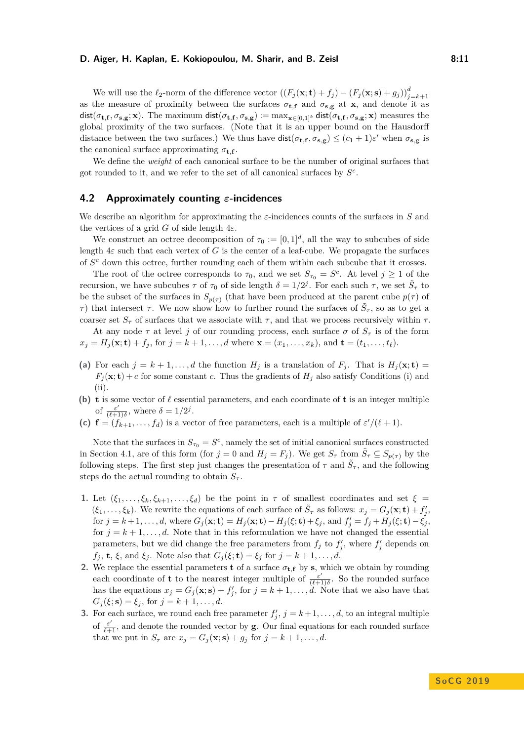#### **D. Aiger, H. Kaplan, E. Kokiopoulou, M. Sharir, and B. Zeisl The Community Community Results** 8:11

We will use the  $\ell_2$ -norm of the difference vector  $((F_j(\mathbf{x}; \mathbf{t}) + f_j) - (F_j(\mathbf{x}; \mathbf{s}) + g_j))_{j=k+1}^d$ as the measure of proximity between the surfaces  $\sigma_{t,f}$  and  $\sigma_{s,g}$  at **x**, and denote it as  $\mathsf{dist}(\sigma_\mathbf{t,f},\sigma_\mathbf{s,g};\mathbf{x}).$  The maximum  $\mathsf{dist}(\sigma_\mathbf{t,f},\sigma_\mathbf{s,g}) := \max_{\mathbf{x}\in[0,1]^k} \mathsf{dist}(\sigma_\mathbf{t,f},\sigma_\mathbf{s,g};\mathbf{x})$  measures the global proximity of the two surfaces. (Note that it is an upper bound on the Hausdorff distance between the two surfaces.) We thus have  $dist(\sigma_{t,f}, \sigma_{s,g}) \leq (c_1 + 1)\varepsilon'$  when  $\sigma_{s,g}$  is the canonical surface approximating  $\sigma_{\mathbf{t},\mathbf{f}}$ .

We define the *weight* of each canonical surface to be the number of original surfaces that got rounded to it, and we refer to the set of all canonical surfaces by *S c* .

## **4.2 Approximately counting** *ε***-incidences**

We describe an algorithm for approximating the *ε*-incidences counts of the surfaces in *S* and the vertices of a grid *G* of side length  $4\varepsilon$ .

We construct an octree decomposition of  $\tau_0 := [0,1]^d$ , all the way to subcubes of side length 4*ε* such that each vertex of *G* is the center of a leaf-cube. We propagate the surfaces of *S <sup>c</sup>* down this octree, further rounding each of them within each subcube that it crosses.

The root of the octree corresponds to  $\tau_0$ , and we set  $S_{\tau_0} = S^c$ . At level  $j \geq 1$  of the recursion, we have subcubes *τ* of  $τ_0$  of side length  $\delta = 1/2^j$ . For each such *τ*, we set  $\tilde{S}_τ$  to be the subset of the surfaces in  $S_{p(\tau)}$  (that have been produced at the parent cube  $p(\tau)$  of *τ*) that intersect *τ*. We now show how to further round the surfaces of  $\tilde{S}_{\tau}$ , so as to get a coarser set  $S_{\tau}$  of surfaces that we associate with  $\tau$ , and that we process recursively within  $\tau$ .

At any node  $\tau$  at level *j* of our rounding process, each surface  $\sigma$  of  $S_{\tau}$  is of the form  $x_i = H_i(\mathbf{x}; \mathbf{t}) + f_i$ , for  $j = k + 1, ..., d$  where  $\mathbf{x} = (x_1, ..., x_k)$ , and  $\mathbf{t} = (t_1, ..., t_\ell)$ .

- (a) For each  $j = k + 1, \ldots, d$  the function  $H_j$  is a translation of  $F_j$ . That is  $H_j(\mathbf{x}; \mathbf{t}) =$  $F_j(\mathbf{x}; \mathbf{t}) + c$  for some constant *c*. Thus the gradients of  $H_j$  also satisfy Conditions (i) and (ii).
- **(b) t** is some vector of  $\ell$  essential parameters, and each coordinate of **t** is an integer multiple of  $\frac{\varepsilon'}{\sqrt{\varepsilon}}$  $\frac{\varepsilon'}{(\ell+1)\delta}$ , where  $\delta = 1/2^j$ .
- **(c)**  $f = (f_{k+1}, \ldots, f_d)$  is a vector of free parameters, each is a multiple of  $\varepsilon' / (\ell + 1)$ .

Note that the surfaces in  $S_{\tau_0} = S^c$ , namely the set of initial canonical surfaces constructed in Section [4.1,](#page-9-0) are of this form (for  $j = 0$  and  $H_j = F_j$ ). We get  $S_\tau$  from  $\tilde{S}_\tau \subseteq S_{p(\tau)}$  by the following steps. The first step just changes the presentation of  $\tau$  and  $\tilde{S}_{\tau}$ , and the following steps do the actual rounding to obtain  $S_{\tau}$ .

- **1.** Let  $(\xi_1, \ldots, \xi_k, \xi_{k+1}, \ldots, \xi_d)$  be the point in  $\tau$  of smallest coordinates and set  $\xi =$  $(\xi_1, \ldots, \xi_k)$ . We rewrite the equations of each surface of  $\tilde{S}_\tau$  as follows:  $x_j = G_j(\mathbf{x}; \mathbf{t}) + f'_j$ , for  $j = k+1, \ldots, d$ , where  $G_j(\mathbf{x}; \mathbf{t}) = H_j(\mathbf{x}; \mathbf{t}) - H_j(\xi; \mathbf{t}) + \xi_j$ , and  $f'_j = f_j + H_j(\xi; \mathbf{t}) - \xi_j$ , for  $j = k + 1, \ldots, d$ . Note that in this reformulation we have not changed the essential parameters, but we did change the free parameters from  $f_j$  to  $f'_j$ , where  $f'_j$  depends on *f<sub>j</sub>*, **t**,  $\xi$ , and  $\xi$ <sup>*j*</sup>. Note also that  $G_j(\xi; \mathbf{t}) = \xi_j$  for  $j = k + 1, \ldots, d$ .
- **2.** We replace the essential parameters **t** of a surface  $\sigma_{t,f}$  by **s**, which we obtain by rounding each coordinate of **t** to the nearest integer multiple of  $\frac{\varepsilon^2}{\ell+1}$  $\frac{\varepsilon'}{(\ell+1)\delta}$ . So the rounded surface has the equations  $x_j = G_j(\mathbf{x}; \mathbf{s}) + f'_j$ , for  $j = k + 1, \ldots, d$ . Note that we also have that  $G_i(\xi; \mathbf{s}) = \xi_i$ , for  $j = k + 1, ..., d$ .
- **3.** For each surface, we round each free parameter  $f'_{j}$ ,  $j = k+1, \ldots, d$ , to an integral multiple of  $\frac{\varepsilon'}{\ell+1}$ , and denote the rounded vector by **g**. Our final equations for each rounded surface that we put in  $S_{\tau}$  are  $x_j = G_j(\mathbf{x}; \mathbf{s}) + g_j$  for  $j = k + 1, ..., d$ .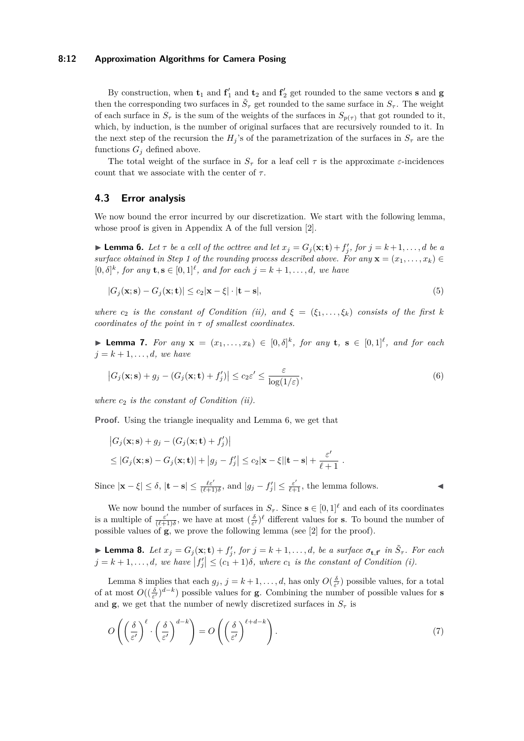## **8:12 Approximation Algorithms for Camera Posing**

By construction, when  $t_1$  and  $t_1'$  and  $t_2$  and  $t_2'$  get rounded to the same vectors **s** and **g** then the corresponding two surfaces in  $\tilde{S}_{\tau}$  get rounded to the same surface in  $S_{\tau}$ . The weight of each surface in  $S_{\tau}$  is the sum of the weights of the surfaces in  $S_{p(\tau)}$  that got rounded to it, which, by induction, is the number of original surfaces that are recursively rounded to it. In the next step of the recursion the  $H_j$ 's of the parametrization of the surfaces in  $S_\tau$  are the functions  $G_i$  defined above.

The total weight of the surface in  $S_{\tau}$  for a leaf cell  $\tau$  is the approximate  $\varepsilon$ -incidences count that we associate with the center of  $\tau$ .

## **4.3 Error analysis**

We now bound the error incurred by our discretization. We start with the following lemma, whose proof is given in Appendix A of the full version [\[2\]](#page-13-13).

<span id="page-11-0"></span>**Example 1 C** *Let*  $\tau$  *be a cell of the octtree and let*  $x_j = G_j(\mathbf{x}; \mathbf{t}) + f'_j$ , for  $j = k+1, \ldots, d$  *be a surface obtained in Step 1 of the rounding process described above. For any*  $\mathbf{x} = (x_1, \ldots, x_k) \in$  $[0, \delta]^k$ , for any  $\mathbf{t}, \mathbf{s} \in [0, 1]^l$ , and for each  $j = k + 1, \ldots, d$ , we have

$$
|G_j(\mathbf{x}; \mathbf{s}) - G_j(\mathbf{x}; \mathbf{t})| \le c_2 |\mathbf{x} - \xi| \cdot |\mathbf{t} - \mathbf{s}|,\tag{5}
$$

*where*  $c_2$  *is the constant of Condition (ii), and*  $\xi = (\xi_1, \ldots, \xi_k)$  *consists of the first k coordinates of the point in τ of smallest coordinates.*

<span id="page-11-3"></span>▶ **Lemma 7.** *For any*  $\mathbf{x} = (x_1, ..., x_k) \in [0, \delta]^k$ , for any **t**,  $\mathbf{s} \in [0, 1]^{\ell}$ , and for each  $j = k + 1, \ldots, d$ *, we have* 

$$
\left|G_j(\mathbf{x}; \mathbf{s}) + g_j - (G_j(\mathbf{x}; \mathbf{t}) + f'_j)\right| \le c_2 \varepsilon' \le \frac{\varepsilon}{\log(1/\varepsilon)},\tag{6}
$$

*where c*<sup>2</sup> *is the constant of Condition (ii).*

**Proof.** Using the triangle inequality and Lemma [6,](#page-11-0) we get that

$$
|G_j(\mathbf{x}; \mathbf{s}) + g_j - (G_j(\mathbf{x}; \mathbf{t}) + f'_j)|
$$
  
\n
$$
\leq |G_j(\mathbf{x}; \mathbf{s}) - G_j(\mathbf{x}; \mathbf{t})| + |g_j - f'_j| \leq c_2 |\mathbf{x} - \xi| |\mathbf{t} - \mathbf{s}| + \frac{\varepsilon'}{\ell + 1}.
$$

Since  $|\mathbf{x} - \xi| \leq \delta$ ,  $|\mathbf{t} - \mathbf{s}| \leq \frac{\ell \varepsilon'}{(\ell+1)\delta}$ , and  $|g_j - f'_j| \leq \frac{\varepsilon'}{\ell+1}$ , the lemma follows.

<span id="page-11-2"></span>

We now bound the number of surfaces in  $S_\tau$ . Since  $\mathbf{s} \in [0,1]^{\ell}$  and each of its coordinates is a multiple of  $\frac{\varepsilon'}{(\ell+1)}$  $\frac{\varepsilon'}{(\ell+1)\delta}$ , we have at most  $(\frac{\delta}{\varepsilon'})^{\ell}$  different values for **s**. To bound the number of possible values of **g**, we prove the following lemma (see [\[2\]](#page-13-13) for the proof).

<span id="page-11-1"></span>**Lemma 8.** Let  $x_j = G_j(\mathbf{x}; \mathbf{t}) + f'_j$ , for  $j = k + 1, ..., d$ , be a surface  $\sigma_{\mathbf{t}, \mathbf{f}'}$  in  $\tilde{S}_{\tau}$ . For each  $j = k + 1, \ldots, d$ , we have  $|f'_j| \leq (c_1 + 1)\delta$ , where  $c_1$  is the constant of Condition (i).

Lemma [8](#page-11-1) implies that each  $g_j$ ,  $j = k + 1, \ldots, d$ , has only  $O(\frac{\delta}{\varepsilon'})$  possible values, for a total of at most  $O((\frac{\delta}{\epsilon'})^{d-k})$  possible values for **g**. Combining the number of possible values for **s** and **g**, we get that the number of newly discretized surfaces in  $S<sub>\tau</sub>$  is

$$
O\left(\left(\frac{\delta}{\varepsilon'}\right)^{\ell} \cdot \left(\frac{\delta}{\varepsilon'}\right)^{d-k}\right) = O\left(\left(\frac{\delta}{\varepsilon'}\right)^{\ell+d-k}\right). \tag{7}
$$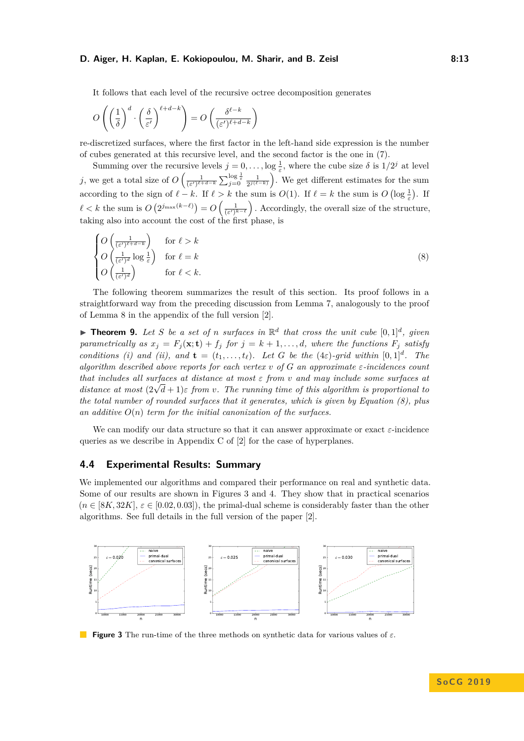#### **D. Aiger, H. Kaplan, E. Kokiopoulou, M. Sharir, and B. Zeisl The Community Communist Results** 8:13

It follows that each level of the recursive octree decomposition generates

$$
O\left(\left(\frac{1}{\delta}\right)^d \cdot \left(\frac{\delta}{\varepsilon'}\right)^{\ell+d-k}\right) = O\left(\frac{\delta^{\ell-k}}{(\varepsilon')^{\ell+d-k}}\right)
$$

re-discretized surfaces, where the first factor in the left-hand side expression is the number of cubes generated at this recursive level, and the second factor is the one in [\(7\)](#page-11-2).

Summing over the recursive levels  $j = 0, \ldots, \log \frac{1}{\varepsilon}$ , where the cube size  $\delta$  is  $1/2^j$  at level *j*, we get a total size of  $O\left(\frac{1}{(\epsilon')^{\ell+d-k}}\sum_{j=0}^{\log \frac{1}{\varepsilon}} \frac{1}{2^{j(\ell-k)}}\right)$ . We get different estimates for the sum according to the sign of  $\ell - k$ . If  $\ell > k$  the sum is  $O(1)$ . If  $\ell = k$  the sum is  $O(\log \frac{1}{\varepsilon})$ . If  $\ell < k$  the sum is  $O(2^{j_{\max}(k-\ell)}) = O(\frac{1}{(\epsilon')^{k-\ell}})$ . Accordingly, the overall size of the structure, taking also into account the cost of the first phase, is

<span id="page-12-0"></span>
$$
\begin{cases}\nO\left(\frac{1}{(\varepsilon')^{\ell+d-k}}\right) & \text{for } \ell > k \\
O\left(\frac{1}{(\varepsilon')^d} \log \frac{1}{\varepsilon}\right) & \text{for } \ell = k \\
O\left(\frac{1}{(\varepsilon')^d}\right) & \text{for } \ell < k.\n\end{cases}
$$
\n(8)

The following theorem summarizes the result of this section. Its proof follows in a straightforward way from the preceding discussion from Lemma [7,](#page-11-3) analogously to the proof of Lemma [8](#page-11-1) in the appendix of the full version [\[2\]](#page-13-13).

**Theorem 9.** Let S be a set of *n* surfaces in  $\mathbb{R}^d$  that cross the unit cube  $[0,1]^d$ , given *parametrically as*  $x_j = F_j(\mathbf{x}; \mathbf{t}) + f_j$  *for*  $j = k+1, \ldots, d$ *, where the functions*  $F_j$  *satisfy conditions (i) and (ii), and*  $\mathbf{t} = (t_1, \ldots, t_\ell)$ *. Let G be the* (4*ε*)*-grid within*  $[0, 1]^d$ *. The algorithm described above reports for each vertex v of G an approximate ε-incidences count that includes all surfaces at distance at most ε from v and may include some surfaces at distance at most* (2<sup>√</sup> *d* + 1)*ε from v. The running time of this algorithm is proportional to the total number of rounded surfaces that it generates, which is given by Equation [\(8\)](#page-12-0), plus an additive O*(*n*) *term for the initial canonization of the surfaces.*

We can modify our data structure so that it can answer approximate or exact *ε*-incidence queries as we describe in Appendix C of [\[2\]](#page-13-13) for the case of hyperplanes.

## **4.4 Experimental Results: Summary**

We implemented our algorithms and compared their performance on real and synthetic data. Some of our results are shown in Figures [3](#page-12-1) and [4.](#page-13-14) They show that in practical scenarios  $(n \in [8K, 32K], \varepsilon \in [0.02, 0.03])$ , the primal-dual scheme is considerably faster than the other algorithms. See full details in the full version of the paper [\[2\]](#page-13-13).

<span id="page-12-1"></span>

**Figure 3** The run-time of the three methods on synthetic data for various values of *ε*.